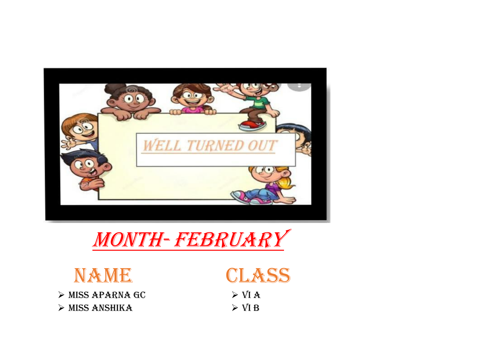

## MONTH-FEBRUARY



> MISS APARNA GC  $>$  MISS ANSHIKA



 $>$  VI A  $>$  VI B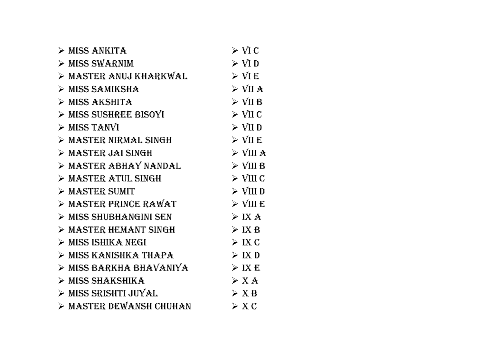| $>$ MISS ANKITA                 | $\triangleright$ VI C   |
|---------------------------------|-------------------------|
| > MISS SWARNIM                  | $\triangleright$ VI D   |
| > MASTER ANUJ KHARKWAL          | $\triangleright$ VI E   |
| $\triangleright$ MISS SAMIKSHA  | $>$ VII A               |
| $>$ MISS AKSHITA                | $\triangleright$ VII B  |
| > MISS SUSHREE BISOYI           | $\triangleright$ VII C  |
| $>$ MISS TANVI                  | $\triangleright$ VII D  |
| > MASTER NIRMAL SINGH           | $\triangleright$ VII E  |
| > MASTER JAI SINGH              | $\triangleright$ VIII A |
| > MASTER ABHAY NANDAL           | $\triangleright$ VIII B |
| > MASTER ATUL SINGH             | $\triangleright$ VIII C |
| $\triangleright$ MASTER SUMIT   | $\triangleright$ VIII D |
| $>$ MASTER PRINCE RAWAT         | $\triangleright$ VIII E |
| > MISS SHUBHANGINI SEN          | $>$ IX A                |
| > MASTER HEMANT SINGH           | $>$ IX B                |
| > MISS ISHIKA NEGI              | $>$ IX C                |
| > MISS KANISHKA THAPA           | > IX D                  |
| MISS BARKHA BHAVANIYA           | $>$ IX E                |
| $\triangleright$ MISS SHAKSHIKA | $>$ X A                 |
| > MISS SRISHTI JUYAL            | > X B                   |
| > MASTER DEWANSH CHUHAN         | $\triangleright$ X C    |